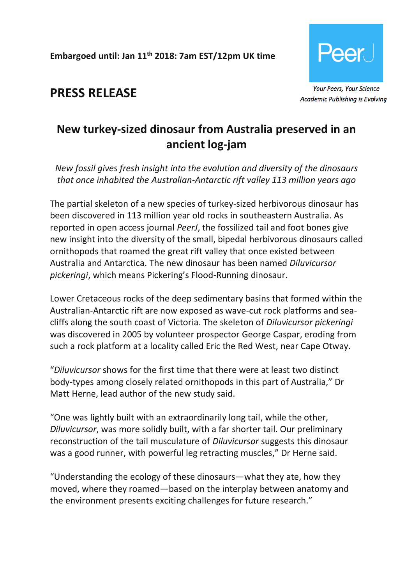**Embargoed until: Jan 11th 2018: 7am EST/12pm UK time**



**PRESS RELEASE**

# **New turkey-sized dinosaur from Australia preserved in an ancient log-jam**

*New fossil gives fresh insight into the evolution and diversity of the dinosaurs that once inhabited the Australian-Antarctic rift valley 113 million years ago*

The partial skeleton of a new species of turkey-sized herbivorous dinosaur has been discovered in 113 million year old rocks in southeastern Australia. As reported in open access journal *PeerJ*, the fossilized tail and foot bones give new insight into the diversity of the small, bipedal herbivorous dinosaurs called ornithopods that roamed the great rift valley that once existed between Australia and Antarctica. The new dinosaur has been named *Diluvicursor pickeringi*, which means Pickering's Flood-Running dinosaur.

Lower Cretaceous rocks of the deep sedimentary basins that formed within the Australian-Antarctic rift are now exposed as wave-cut rock platforms and seacliffs along the south coast of Victoria. The skeleton of *Diluvicursor pickeringi*  was discovered in 2005 by volunteer prospector George Caspar, eroding from such a rock platform at a locality called Eric the Red West, near Cape Otway.

"*Diluvicursor* shows for the first time that there were at least two distinct body-types among closely related ornithopods in this part of Australia," Dr Matt Herne, lead author of the new study said.

"One was lightly built with an extraordinarily long tail, while the other, *Diluvicursor*, was more solidly built, with a far shorter tail. Our preliminary reconstruction of the tail musculature of *Diluvicursor* suggests this dinosaur was a good runner, with powerful leg retracting muscles," Dr Herne said.

"Understanding the ecology of these dinosaurs—what they ate, how they moved, where they roamed—based on the interplay between anatomy and the environment presents exciting challenges for future research."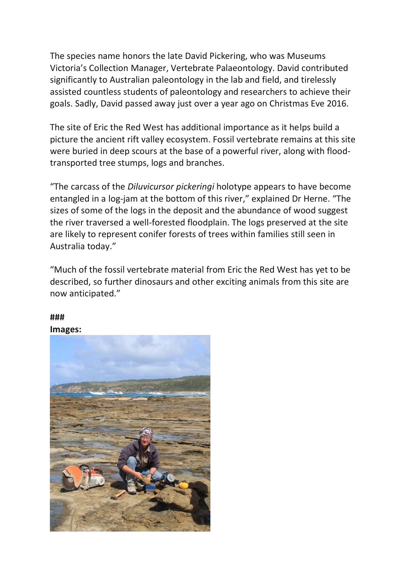The species name honors the late David Pickering, who was Museums Victoria's Collection Manager, Vertebrate Palaeontology. David contributed significantly to Australian paleontology in the lab and field, and tirelessly assisted countless students of paleontology and researchers to achieve their goals. Sadly, David passed away just over a year ago on Christmas Eve 2016.

The site of Eric the Red West has additional importance as it helps build a picture the ancient rift valley ecosystem. Fossil vertebrate remains at this site were buried in deep scours at the base of a powerful river, along with floodtransported tree stumps, logs and branches.

"The carcass of the *Diluvicursor pickeringi* holotype appears to have become entangled in a log-jam at the bottom of this river," explained Dr Herne. "The sizes of some of the logs in the deposit and the abundance of wood suggest the river traversed a well-forested floodplain. The logs preserved at the site are likely to represent conifer forests of trees within families still seen in Australia today."

"Much of the fossil vertebrate material from Eric the Red West has yet to be described, so further dinosaurs and other exciting animals from this site are now anticipated."

# **###**

**Images:**

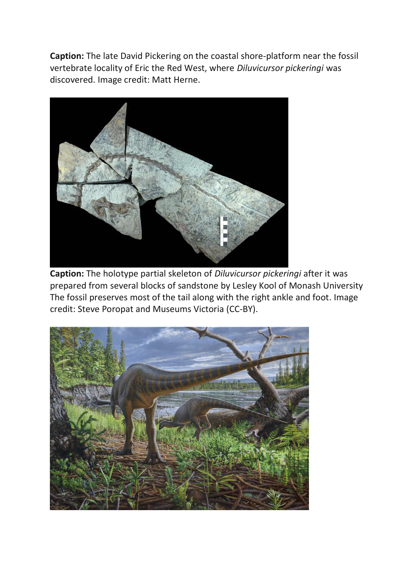**Caption:** The late David Pickering on the coastal shore-platform near the fossil vertebrate locality of Eric the Red West, where *Diluvicursor pickeringi* was discovered. Image credit: Matt Herne.



**Caption:** The holotype partial skeleton of *Diluvicursor pickeringi* after it was prepared from several blocks of sandstone by Lesley Kool of Monash University The fossil preserves most of the tail along with the right ankle and foot. Image credit: Steve Poropat and Museums Victoria (CC-BY).

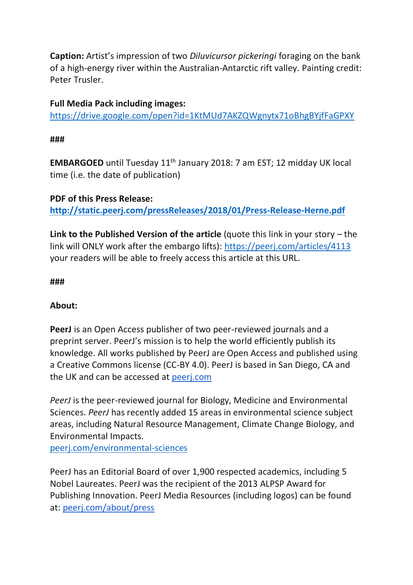**Caption:** Artist's impression of two *Diluvicursor pickeringi* foraging on the bank of a high-energy river within the Australian-Antarctic rift valley. Painting credit: Peter Trusler.

## **Full Media Pack including images:**

<https://drive.google.com/open?id=1KtMUd7AKZQWgnytx71oBhgBYjfFaGPXY>

**###**

**EMBARGOED** until Tuesday 11<sup>th</sup> January 2018: 7 am EST; 12 midday UK local time (i.e. the date of publication)

## **PDF of this Press Release: <http://static.peerj.com/pressReleases/2018/01/Press-Release-Herne.pdf>**

**Link to the Published Version of the article** (quote this link in your story – the link will ONLY work after the embargo lifts): <https://peerj.com/articles/4113> your readers will be able to freely access this article at this URL.

### **###**

### **About:**

**PeerJ** is an Open Access publisher of two peer-reviewed journals and a preprint server. PeerJ's mission is to help the world efficiently publish its knowledge. All works published by PeerJ are Open Access and published using a Creative Commons license (CC-BY 4.0). PeerJ is based in San Diego, CA and the UK and can be accessed at peerj.com

*PeerJ* is the peer-reviewed journal for Biology, Medicine and Environmental Sciences. *PeerJ* has recently added 15 areas in environmental science subject areas, including Natural Resource Management, Climate Change Biology, and Environmental Impacts.

[peerj.com/environmental-sciences](https://peerj.com/environmental-sciences)

PeerJ has an Editorial Board of over 1,900 respected academics, including 5 Nobel Laureates. PeerJ was the recipient of the 2013 ALPSP Award for Publishing Innovation. PeerJ Media Resources (including logos) can be found at: peerj.com/about/press